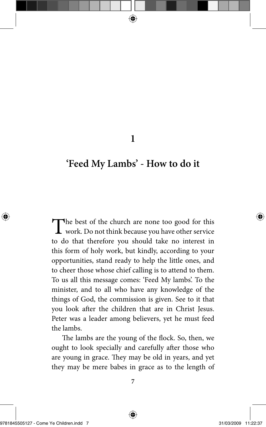**1**

⊕

## **'Feed My Lambs' - How to do it**

The best of the church are none too good for this work. Do not think because you have other service to do that therefore you should take no interest in this form of holy work, but kindly, according to your opportunities, stand ready to help the little ones, and to cheer those whose chief calling is to attend to them. To us all this message comes: 'Feed My lambs'. To the minister, and to all who have any knowledge of the things of God, the commission is given. See to it that you look after the children that are in Christ Jesus. Peter was a leader among believers, yet he must feed the lambs.

The lambs are the young of the flock. So, then, we ought to look specially and carefully after those who are young in grace. They may be old in years, and yet they may be mere babes in grace as to the length of

⊕

⊕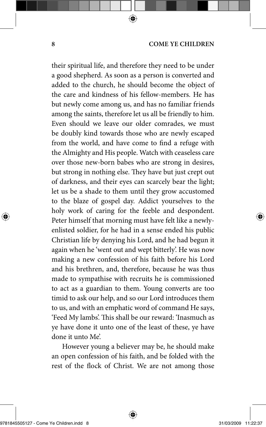their spiritual life, and therefore they need to be under a good shepherd. As soon as a person is converted and added to the church, he should become the object of the care and kindness of his fellow-members. He has but newly come among us, and has no familiar friends among the saints, therefore let us all be friendly to him. Even should we leave our older comrades, we must be doubly kind towards those who are newly escaped from the world, and have come to find a refuge with the Almighty and His people. Watch with ceaseless care over those new-born babes who are strong in desires, but strong in nothing else. They have but just crept out of darkness, and their eyes can scarcely bear the light; let us be a shade to them until they grow accustomed to the blaze of gospel day. Addict yourselves to the holy work of caring for the feeble and despondent. Peter himself that morning must have felt like a newlyenlisted soldier, for he had in a sense ended his public Christian life by denying his Lord, and he had begun it again when he 'went out and wept bitterly'. He was now making a new confession of his faith before his Lord and his brethren, and, therefore, because he was thus made to sympathise with recruits he is commissioned to act as a guardian to them. Young converts are too timid to ask our help, and so our Lord introduces them to us, and with an emphatic word of command He says, 'Feed My lambs'. This shall be our reward: 'Inasmuch as ye have done it unto one of the least of these, ye have done it unto Me'.

◈

However young a believer may be, he should make an open confession of his faith, and be folded with the rest of the flock of Christ. We are not among those

₩

9781845505127 - Come Ye Children.indd 8 781845505127 31/03/2009 11:22:37 1/03/2009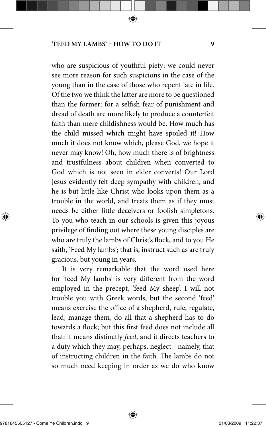## **'FEED MY LAMBS' HOW TO DO IT 9**

who are suspicious of youthful piety: we could never see more reason for such suspicions in the case of the young than in the case of those who repent late in life. Of the two we think the latter are more to be questioned than the former: for a selfish fear of punishment and dread of death are more likely to produce a counterfeit faith than mere childishness would be. How much has the child missed which might have spoiled it! How much it does not know which, please God, we hope it never may know! Oh, how much there is of brightness and trustfulness about children when converted to God which is not seen in elder converts! Our Lord Jesus evidently felt deep sympathy with children, and he is but little like Christ who looks upon them as a trouble in the world, and treats them as if they must needs be either little deceivers or foolish simpletons. To you who teach in our schools is given this joyous privilege of finding out where these young disciples are who are truly the lambs of Christ's flock, and to you He saith, 'Feed My lambs'; that is, instruct such as are truly gracious, but young in years.

◈

It is very remarkable that the word used here for 'feed My lambs' is very different from the word employed in the precept, 'feed My sheep'. I will not trouble you with Greek words, but the second 'feed' means exercise the office of a shepherd, rule, regulate, lead, manage them, do all that a shepherd has to do towards a flock; but this first feed does not include all that: it means distinctly *feed*, and it directs teachers to a duty which they may, perhaps, neglect - namely, that of instructing children in the faith. The lambs do not so much need keeping in order as we do who know

⊕

⊕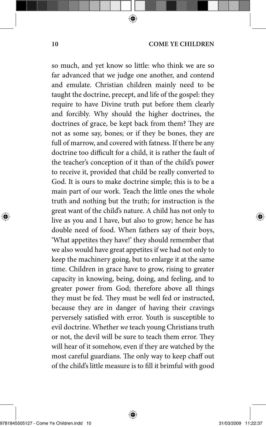so much, and yet know so little: who think we are so far advanced that we judge one another, and contend and emulate. Christian children mainly need to be taught the doctrine, precept, and life of the gospel: they require to have Divine truth put before them clearly and forcibly. Why should the higher doctrines, the doctrines of grace, be kept back from them? They are not as some say, bones; or if they be bones, they are full of marrow, and covered with fatness. If there be any doctrine too difficult for a child, it is rather the fault of the teacher's conception of it than of the child's power to receive it, provided that child be really converted to God. It is ours to make doctrine simple; this is to be a main part of our work. Teach the little ones the whole truth and nothing but the truth; for instruction is the great want of the child's nature. A child has not only to live as you and I have, but also to grow; hence he has double need of food. When fathers say of their boys, 'What appetites they have!' they should remember that we also would have great appetites if we had not only to keep the machinery going, but to enlarge it at the same time. Children in grace have to grow, rising to greater capacity in knowing, being, doing, and feeling, and to greater power from God; therefore above all things they must be fed. They must be well fed or instructed, because they are in danger of having their cravings perversely satisfied with error. Youth is susceptible to evil doctrine. Whether *we* teach young Christians truth or not, the devil will be sure to teach them error. They will hear of it somehow, even if they are watched by the most careful guardians. The only way to keep chaff out of the child's little measure is to fill it brimful with good

♠

₩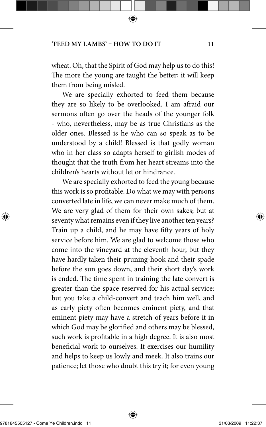## **FEED MY LAMBS' - HOW TO DO IT** 11

wheat. Oh, that the Spirit of God may help us to do this! The more the young are taught the better; it will keep them from being misled.

⊕

We are specially exhorted to feed them because they are so likely to be overlooked. I am afraid our sermons often go over the heads of the younger folk - who, nevertheless, may be as true Christians as the older ones. Blessed is he who can so speak as to be understood by a child! Blessed is that godly woman who in her class so adapts herself to girlish modes of thought that the truth from her heart streams into the children's hearts without let or hindrance.

We are specially exhorted to feed the young because this work is so profitable. Do what we may with persons converted late in life, we can never make much of them. We are very glad of them for their own sakes; but at seventy what remains even if they live another ten years? Train up a child, and he may have fifty years of holy service before him. We are glad to welcome those who come into the vineyard at the eleventh hour, but they have hardly taken their pruning-hook and their spade before the sun goes down, and their short day's work is ended. The time spent in training the late convert is greater than the space reserved for his actual service: but you take a child-convert and teach him well, and as early piety often becomes eminent piety, and that eminent piety may have a stretch of years before it in which God may be glorified and others may be blessed, such work is profitable in a high degree. It is also most beneficial work to ourselves. It exercises our humility and helps to keep us lowly and meek. It also trains our patience; let those who doubt this try it; for even young

₩